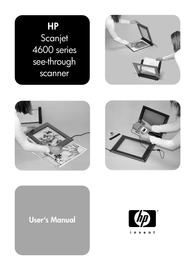# **HP**  Scanjet 4600 series see-through scanner







## **User's Manual**

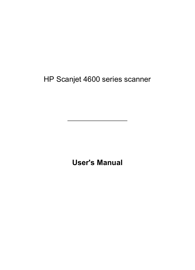HP Scanjet 4600 series scanner

**User's Manual**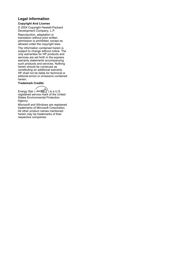#### **Legal information**

#### **Copyright And License**

© 2004 Copyright Hewlett-Packard Development Company, L.P.

Reproduction, adaptation or translation without prior written permission is prohibited, except as allowed under the copyright laws.

The information contained herein is subject to change without notice. The only warranties for HP products and services are set forth in the express warranty statements accompanying such products and services. Nothing herein should be construed as constituting an additional warranty. HP shall not be liable for technical or editorial errors or omissions contained herein.

**Trademark Credits**

Energy Star ( $\overbrace{\mathcal{L}}^{\mathcal{L}}$ ) is a U.S. registered service mark of the United States Environmental Protection Agency.

Microsoft and Windows are registered trademarks of Microsoft Corporation. All other product names mentioned herein may be trademarks of their respective companies.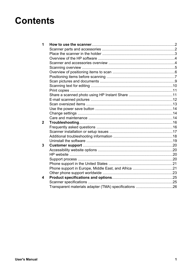# **Contents**

| 1 |  |
|---|--|
|   |  |
|   |  |
|   |  |
|   |  |
|   |  |
|   |  |
|   |  |
|   |  |
|   |  |
|   |  |
|   |  |
|   |  |
|   |  |
|   |  |
|   |  |
|   |  |
| 2 |  |
|   |  |
|   |  |
|   |  |
|   |  |
| 3 |  |
|   |  |
|   |  |
|   |  |
|   |  |
|   |  |
|   |  |
| 4 |  |
|   |  |
|   |  |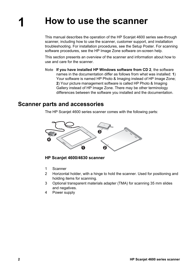# <span id="page-5-0"></span>**1 How to use the scanner**

This manual describes the operation of the HP Scanjet 4600 series see-through scanner, including how to use the scanner, customer support, and installation troubleshooting. For installation procedures, see the Setup Poster. For scanning software procedures, see the HP Image Zone software on-screen help.

This section presents an overview of the scanner and information about how to use and care for the scanner.

**Note If you have installed HP Windows software from CD 2**, the software names in the documentation differ as follows from what was installed: **1**) Your software is named HP Photo & Imaging instead of HP Image Zone; **2**) Your picture management software is called HP Photo & Imaging Gallery instead of HP Image Zone. There may be other terminology differences between the software you installed and the documentation.

### **Scanner parts and accessories**

The HP Scanjet 4600 series scanner comes with the following parts:



**HP Scanjet 4600/4630 scanner**

- 1 Scanner
- 2 Horizontal holder, with a hinge to hold the scanner. Used for positioning and holding items for scanning.
- 3 Optional transparent materials adapter (TMA) for scanning 35 mm slides and negatives.
- 4 Power supply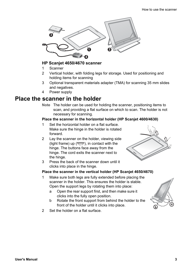<span id="page-6-0"></span>

#### **HP Scanjet 4650/4670 scanner**

- 1 Scanner
- 2 Vertical holder, with folding legs for storage. Used for positioning and holding items for scanning
- 3 Optional transparent materials adapter (TMA) for scanning 35 mm slides and negatives.
- 4 Power supply

## **Place the scanner in the holder**

**Note** The holder can be used for holding the scanner, positioning items to scan, and providing a flat surface on which to scan. The holder is not necessary for scanning.

#### **Place the scanner in the horizontal holder (HP Scanjet 4600/4630)**

- 1 Set the horizontal holder on a flat surface. Make sure the hinge in the holder is rotated forward.
- 2 Lay the scanner on the holder, viewing side (light frame) up  $(\overline{\mathcal{L}_{\text{av}}})$ , in contact with the hinge. The buttons face away from the hinge. The cord exits the scanner next to the hinge.
- 3 Press the back of the scanner down until it clicks into place in the hinge.

#### **Place the scanner in the vertical holder (HP Scanjet 4650/4670)**

- 1 Make sure both legs are fully extended before placing the scanner in the holder. This ensures the holder is stable. Open the support legs by rotating them into place:
	- a Open the rear support first, and then make sure it clicks into the fully open position.
	- b Rotate the front support from behind the holder to the front of the holder until it clicks into place.



2 Set the holder on a flat surface.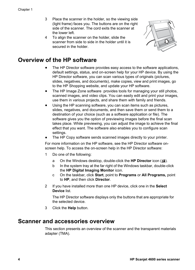- <span id="page-7-0"></span>3 Place the scanner in the holder, so the viewing side (light frame) faces you. The buttons are on the right side of the scanner. The cord exits the scanner at the lower left.
- 4 To align the scanner on the holder, slide the scanner from side to side in the holder until it is secured in the holder



## **Overview of the HP software**

- The HP Director software provides easy access to the software applications, default settings, status, and on-screen help for your HP device. By using the HP Director software, you can scan various types of originals (pictures, slides, negatives, and documents), make copies, view and print images, go to the HP Shopping website, and update your HP software.
- The HP Image Zone software provides tools for managing your still photos, scanned images, and video clips. You can easily edit and print your images, use them in various projects, and share them with family and friends.
- Using the HP scanning software, you can scan items such as pictures, slides, negatives, and documents, and then save them or send them to a destination of your choice (such as a software application or file). The software gives you the option of previewing images before the final scan takes place. While previewing, you can adjust the image to achieve the final effect that you want. The software also enables you to configure scan settings.
- The HP Copy software sends scanned images directly to your printer.

For more information on the HP software, see the HP Director software onscreen help. To access the on-screen help in the HP Director software:

- 1 Do one of the following:
	- a On the Windows desktop, double-click the **HP Director** icon ( $\mathbf{B}$ ).
	- b In the system tray at the far right of the Windows taskbar, double-click the **HP Digital Imaging Monitor** icon.
	- c On the taskbar, click **Start**, point to **Programs** or **All Programs,** point to **HP**, and then click **Director**.
- 2 If you have installed more than one HP device, click one in the **Select Device** list.

The HP Director software displays only the buttons that are appropriate for the selected device.

3 Click the **Help** button.

## **Scanner and accessories overview**

This section presents an overview of the scanner and the transparent materials adapter (TMA).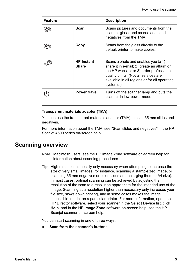<span id="page-8-0"></span>

| <b>Feature</b> |                                   | <b>Description</b>                                                                                                                                                                                                                   |
|----------------|-----------------------------------|--------------------------------------------------------------------------------------------------------------------------------------------------------------------------------------------------------------------------------------|
|                | Scan                              | Scans pictures and documents from the<br>scanner glass, and scans slides and<br>negatives from the TMA.                                                                                                                              |
|                | Copy                              | Scans from the glass directly to the<br>default printer to make copies.                                                                                                                                                              |
|                | <b>HP</b> Instant<br><b>Share</b> | Scans a photo and enables you to 1)<br>share it in e-mail; 2) create an album on<br>the HP website; or 3) order professional-<br>quality prints. (Not all services are<br>available in all regions or for all operating<br>systems.) |
|                | <b>Power Save</b>                 | Turns off the scanner lamp and puts the<br>scanner in low-power mode.                                                                                                                                                                |

#### **Transparent materials adapter (TMA)**

You can use the transparent materials adapter (TMA) to scan 35 mm slides and negatives.

For more information about the TMA, see "Scan slides and negatives" in the HP Scanjet 4600 series on-screen help.

## **Scanning overview**

- **Note** Macintosh users, see the HP Image Zone software on-screen help for information about scanning procedures.
- **Tip** High resolution is usually only necessary when attempting to increase the size of very small images (for instance, scanning a stamp-sized image, or scanning 35 mm negatives or color slides and enlarging them to A4 size). In most cases, optimal scanning can be achieved by adjusting the resolution of the scan to a resolution appropriate for the intended use of the image. Scanning at a resolution higher than necessary only increases your file size, slows down printing, and in some cases makes the image impossible to print on a particular printer. For more information, open the HP Director software, select your scanner in the **Select Device** list, click **Help**, and in the **HP Image Zone** software on-screen help, see the HP Scanjet scanner on-screen help.

You can start scanning in one of three ways:

**Scan from the scanner's buttons**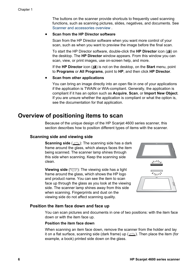<span id="page-9-0"></span>The buttons on the scanner provide shortcuts to frequently used scanning functions, such as scanning pictures, slides, negatives, and documents. See [Scanner and accessories overview .](#page-7-0)

#### **Scan from the HP Director software**

Scan from the HP Director software when you want more control of your scan, such as when you want to preview the image before the final scan.

To start the HP Director software, double-click the HP Director icon (<sup>3</sup>) on the desktop. The **HP Director** window appears. From this window you can scan, view, or print images, use on-screen help, and more.

If the **HP Director** icon (<sup>2</sup>) is not on the desktop, on the **Start** menu, point to **Programs** or **All Programs**, point to **HP**, and then click **HP Director**.

#### ● **Scan from other applications**

You can bring an image directly into an open file in one of your applications if the application is TWAIN or WIA-compliant. Generally, the application is compliant if it has an option such as **Acquire**, **Scan**, or **Import New Object**. If you are unsure whether the application is compliant or what the option is, see the documentation for that application.

## **Overview of positioning items to scan**

Because of the unique design of the HP Scanjet 4600 series scanner, this section describes how to position different types of items with the scanner.

#### **Scanning side and viewing side**

**Scanning side** ( $\frac{1}{2}$ ): The scanning side has a dark frame around the glass, which always faces the item being scanned. The scanner lamp shines through this side when scanning. Keep the scanning side clean.

**Viewing side** ( $\sqrt{2}$ ): The viewing side has a light frame around the glass, which shows the HP logo and product name. You can see the item to scan face up through the glass as you look at the viewing side. The scanner lamp shines away from this side when scanning. Fingerprints and dust on the viewing side do not affect scanning quality.



#### **Position the item face down and face up**

You can scan pictures and documents in one of two positions: with the item face down or with the item face up.

#### **Position the item face down**

When scanning an item face down, remove the scanner from the holder and lay it on a flat surface, scanning side (dark frame) up  $(\frac{1}{2}, \frac{1}{2})$ . Then place the item (for example, a book) printed side down on the glass.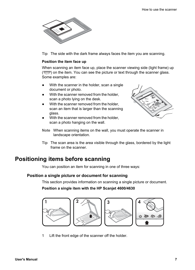<span id="page-10-0"></span>

**Tip** The side with the dark frame always faces the item you are scanning.

#### **Position the item face up**

When scanning an item face up, place the scanner viewing side (light frame) up  $(\overline{\mathbb{Z}_{\text{max}}})$  on the item. You can see the picture or text through the scanner glass. Some examples are:

- With the scanner in the holder, scan a single document or photo.
- With the scanner removed from the holder, scan a photo lying on the desk.
- With the scanner removed from the holder, scan an item that is larger than the scanning glass.
- With the scanner removed from the holder. scan a photo hanging on the wall.



- **Note** When scanning items on the wall, you must operate the scanner in landscape orientation.
- **Tip** The scan area is the area visible through the glass, bordered by the light frame on the scanner.

## **Positioning items before scanning**

You can position an item for scanning in one of three ways:

#### **Position a single picture or document for scanning**

This section provides information on scanning a single picture or document.

**Position a single item with the HP Scanjet 4600/4630**



1 Lift the front edge of the scanner off the holder.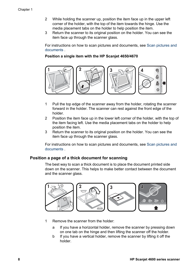- 2 While holding the scanner up, position the item face up in the upper left corner of the holder, with the top of the item towards the hinge. Use the media placement tabs on the holder to help position the item.
- 3 Return the scanner to its original position on the holder. You can see the item face up through the scanner glass.

For instructions on how to scan pictures and documents, see [Scan pictures and](#page-12-0) [documents .](#page-12-0)

#### **Position a single item with the HP Scanjet 4650/4670**



- 1 Pull the top edge of the scanner away from the holder, rotating the scanner forward in the holder. The scanner can rest against the front edge of the holder.
- 2 Position the item face up in the lower left corner of the holder, with the top of the item facing left. Use the media placement tabs on the holder to help position the item.
- 3 Return the scanner to its original position on the holder. You can see the item face up through the scanner glass.

For instructions on how to scan pictures and documents, see [Scan pictures and](#page-12-0) [documents .](#page-12-0)

#### **Position a page of a thick document for scanning**

The best way to scan a thick document is to place the document printed side down on the scanner. This helps to make better contact between the document and the scanner glass.



- 1 Remove the scanner from the holder:
	- a If you have a horizontal holder, remove the scanner by pressing down on one tab on the hinge and then lifting the scanner off the holder.
	- b If you have a vertical holder, remove the scanner by lifting it off the holder.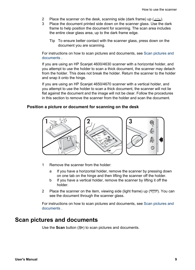- <span id="page-12-0"></span>2 Place the scanner on the desk, scanning side (dark frame) up  $(\frac{1}{2}, \frac{1}{2})$ .
- 3 Place the document printed side down on the scanner glass. Use the dark frame to help position the document for scanning. The scan area includes the entire clear glass area, up to the dark frame edge.
	- **Tip** To ensure better contact with the scanner glass, press down on the document you are scanning.

For instructions on how to scan pictures and documents, see Scan pictures and documents .

If you are using an HP Scanjet 4600/4630 scanner with a horizontal holder, and you attempt to use the holder to scan a thick document, the scanner may detach from the holder. This does not break the holder. Return the scanner to the holder and snap it onto the hinge.

If you are using an HP Scanjet 4650/4670 scanner with a vertical holder, and you attempt to use the holder to scan a thick document, the scanner will not lie flat against the document and the image will not be clear. Follow the procedures in this section to remove the scanner from the holder and scan the document.

#### **Position a picture or document for scanning on the desk**



- 1 Remove the scanner from the holder:
	- a If you have a horizontal holder, remove the scanner by pressing down on one tab on the hinge and then lifting the scanner off the holder.
	- b If you have a vertical holder, remove the scanner by lifting it off the holder.
- 2 Place the scanner on the item, viewing side (light frame) up  $(\overline{\mathcal{L}_{\text{max}}})$ . You can see the document through the scanner glass.

For instructions on how to scan pictures and documents, see Scan pictures and documents .

## **Scan pictures and documents**

Use the **Scan** button ( $\gg$ ) to scan pictures and documents.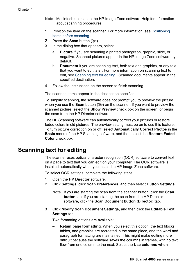- <span id="page-13-0"></span>**Note** Macintosh users, see the HP Image Zone software Help for information about scanning procedures.
- 1 Position the item on the scanner. For more information, see [Positioning](#page-10-0) [items before scanning .](#page-10-0)
- **2** Press the **Scan** button  $(\geqslant)$ .
- 3 In the dialog box that appears, select:
	- a **Picture** if you are scanning a printed photograph, graphic, slide, or negative. Scanned pictures appear in the HP Image Zone software by default.
	- b **Document** if you are scanning text, both text and graphics, or any text that you want to edit later. For more information on scanning text to edit, see Scanning text for editing . Scanned documents appear in the specified destination.
- 4 Follow the instructions on the screen to finish scanning.

The scanned items appear in the destination specified.

To simplify scanning, the software does not prompt you to preview the picture when you use the **Scan** button ( $\gg$ ) on the scanner. If you want to preview the scanned picture, select the **Show Preview** check box on the screen, or begin the scan from the HP Director software.

The HP Scanning software can automatically correct your pictures or restore faded colors in old pictures. The preview setting must be on to use this feature. To turn picture correction on or off, select **Automatically Correct Photos** in the **Basic** menu of the HP Scanning software, and then select the **Restore Faded Color** check box.

## **Scanning text for editing**

The scanner uses optical character recognition (OCR) software to convert text on a page to text that you can edit on your computer. The OCR software is installed automatically when you install the HP Image Zone software.

To select OCR settings, complete the following steps:

- 1 Open the **HP Director** software.
- 2 Click **Settings**, click **Scan Preferences**, and then select **Button Settings**.
	- **Note** If you are starting the scan from the scanner button, click the **Scan button** tab. If you are starting the scan from the HP Director software, click the **Scan Document button (Director)** tab.
- 3 Click **Modify Scan Document Settings**, and then click the **Editable Text Settings** tab.

Two formatting options are available:

– **Retain page formatting**. When you select this option, the text blocks, tables, and graphics are recreated in the same place, and the word and paragraph formatting are maintained. This might make editing more difficult because the software saves the columns in frames, with no text flow from one column to the next. Select the **Use columns when**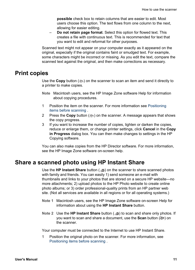**possible** check box to retain columns that are easier to edit. Most users choose this option. The text flows from one column to the next, allowing for easier editing.

<span id="page-14-0"></span>– **Do not retain page format**. Select this option for flowed text. This creates a file with continuous text. This is recommended for text that you want to edit and reformat for other purposes.

Scanned text might not appear on your computer exactly as it appeared on the original, especially if the original contains faint or smudged text. For example, some characters might be incorrect or missing. As you edit the text, compare the scanned text against the original, and then make corrections as necessary.

## **Print copies**

Use the **Copy** button ( $\otimes$ ) on the scanner to scan an item and send it directly to a printer to make copies.

- **Note** Macintosh users, see the HP Image Zone software Help for information about copying procedures.
- 1 Position the item on the scanner. For more information see [Positioning](#page-10-0) [items before scanning](#page-10-0) .
- **2** Press the **Copy** button ( $\otimes$ ) on the scanner. A message appears that shows the copy progress.
- 3 If you want to increase the number of copies, lighten or darken the copies, reduce or enlarge them, or change printer settings, click **Cancel** in the **Copy in Progress** dialog box. You can then make changes to settings in the HP Copying software.

You can also make copies from the HP Director software. For more information, see the HP Image Zone software on-screen help.

## **Share a scanned photo using HP Instant Share**

Use the **HP Instant Share** button (**D**) on the scanner to share scanned photos with family and friends. You can easily 1) send someone an e-mail with thumbnails and links to your photos that are stored on a secure HP website—no more attachments; 2) upload photos to the HP Photo website to create online photo albums; or 3) order professional-quality prints from an HP partner web site. (Not all services are available in all regions or for all operating systems.)

- **Note 1** Macintosh users, see the HP Image Zone software on-screen Help for information about using the **HP Instant Share** button.
- **Note 2** Use the **HP Instant Share** button ( $\text{m}$ ) to scan and share only photos. If you want to scan and share a document, use the **Scan** button ( $\geqslant$ ) on the scanner.

Your computer must be connected to the Internet to use HP Instant Share.

1 Position the original photo on the scanner. For more information, see [Positioning items before scanning .](#page-10-0)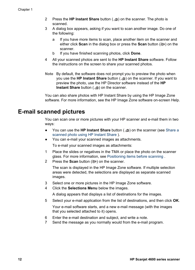- <span id="page-15-0"></span>2 Press the **HP Instant Share** button ( $\text{m}$ ) on the scanner. The photo is scanned.
- 3 A dialog box appears, asking if you want to scan another image. Do one of the following:
	- a If you have more items to scan, place another item on the scanner and either click **Scan** in the dialog box or press the **Scan** button ( $\gg$ ) on the scanner.
	- b If you have finished scanning photos, click **Done**.
- 4 All your scanned photos are sent to the **HP Instant Share** software. Follow the instructions on the screen to share your scanned photos.
- **Note** By default, the software does not prompt you to preview the photo when you use the **HP Instant Share** button ( $\mathcal{B}$ ) on the scanner. If you want to preview the photo, use the HP Director software instead of the **HP Instant Share** button ( $\mathbf{B}$ ) on the scanner.

You can also share photos with HP Instant Share by using the HP Image Zone software. For more information, see the HP Image Zone software on-screen Help.

## **E-mail scanned pictures**

You can scan one or more pictures with your HP scanner and e-mail them in two ways:

- You can use the **HP Instant Share** button ( $\text{D}$ ) on the scanner (see [Share a](#page-14-0) [scanned photo using HP Instant Share \)](#page-14-0).
- You can e-mail your scanned images as attachments.

To e-mail your scanned images as attachments:

- 1 Place the slides or negatives in the TMA or place the photo on the scanner glass. For more information, see [Positioning items before scanning .](#page-10-0)
- 2 Press the **Scan** button ( $\gg$ ) on the scanner.

The scan is displayed in the HP Image Zone software. If multiple selection areas were detected, the selections are displayed as separate scanned images.

- 3 Select one or more pictures in the HP Image Zone software.
- 4 Click the **Selections Menu** below the images.

A dialog appears that displays a list of destinations for the images.

5 Select your e-mail application from the list of destinations, and then click **OK**.

Your e-mail software starts, and a new e-mail message (with the images that you selected attached to it) opens.

- 6 Enter the e-mail destination and subject, and write a note.
- 7 Send the message as you normally would from the e-mail program.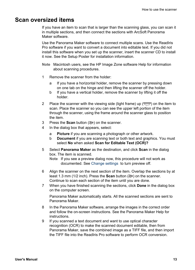## <span id="page-16-0"></span>**Scan oversized items**

If you have an item to scan that is larger than the scanning glass, you can scan it in multiple sections, and then connect the sections with ArcSoft Panorama Maker software.

Use the Panorama Maker software to connect multiple scans. Use the ReadIris Pro software if you want to convert a document into editable text. If you did not install this software when you set up the scanner, insert the scanner CD to install it now. See the Setup Poster for installation information.

- **Note** Macintosh users, see the HP Image Zone software Help for information about scanning procedures.
- 1 Remove the scanner from the holder:
	- a If you have a horizontal holder, remove the scanner by pressing down on one tab on the hinge and then lifting the scanner off the holder.
	- b If you have a vertical holder, remove the scanner by lifting it off the holder.
- 2 Place the scanner with the viewing side (light frame) up  $(\overline{\mathcal{L}_{\text{max}}} )$  on the item to scan. Place the scanner so you can see the upper left portion of the item through the scanner, using the frame around the scanner glass to position the item.
- 3 Press the **Scan** button (...) on the scanner.
- 4 In the dialog box that appears, select:
	- a **Picture** if you are scanning a photograph or other artwork.
	- b **Document** if you are scanning text or both text and graphics. You must select **No** when asked **Scan for Editable Text (OCR)?**
- 5 Select **Panorama Maker** as the destination, and click **Scan** in the dialog box. The item is scanned.
	- **Note** If you see a preview dialog now, this procedure will not work as documented. See [Change settings](#page-17-0) to turn preview off.
- 6 Align the scanner on the next section of the item. Overlap the sections by at least 1.3 mm (1/2 inch). Press the **Scan** button (See ) on the scanner. Continue to scan each section of the item until you are done.
- 7 When you have finished scanning the sections, click **Done** in the dialog box on the computer screen.

Panorama Maker automatically starts. All the scanned sections are sent to Panorama Maker.

- 8 In the Panorama Maker software, arrange the images in the correct order and follow the on-screen instructions. See the Panorama Maker Help for instructions.
- 9 If you scanned a text document and want to use optical character recognition (OCR) to make the scanned document editable, then from Panorama Maker, save the combined image as a TIFF file, and then import the TIFF file into the ReadIris Pro software to perform OCR conversion.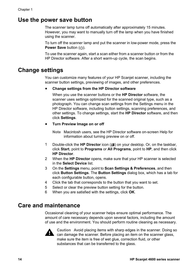## <span id="page-17-0"></span>**Use the power save button**

The scanner lamp turns off automatically after approximately 15 minutes. However, you may want to manually turn off the lamp when you have finished using the scanner.

To turn off the scanner lamp and put the scanner in low-power mode, press the **Power Save button ((1)).** 

To use the scanner again, start a scan either from a scanner button or from the HP Director software. After a short warm-up cycle, the scan begins.

## **Change settings**

You can customize many features of your HP Scanjet scanner, including the scanner button settings, previewing of images, and other preferences.

#### ● **Change settings from the HP Director software**

When you use the scanner buttons or the **HP Director** software, the scanner uses settings optimized for the scanned original type, such as a photograph. You can change scan settings from the Settings menu in the HP Director software, including button settings, scanning preferences, and other settings. To change settings, start the **HP Director** software, and then click **Settings**.

#### ● **Turn Preview Image on or off**

**Note** Macintosh users, see the HP Director software on-screen Help for information about turning preview on or off.

- 1 Double-click the **HP Director** icon (<sup>2</sup>) on your desktop. Or, on the taskbar, click **Start**, point to **Programs** or **All Programs**, point to **HP**, and then click **HP Director**.
- 2 When the **HP Director** opens, make sure that your HP scanner is selected in the **Select Device** list.
- 3 On the **Settings** menu, point to **Scan Settings & Preferences**, and then click **Button Settings**. The **Button Settings** dialog box, which has a tab for each configurable button, opens.
- 4 Click the tab that corresponds to the button that you want to set.
- 5 Select or clear the preview button setting for the button.
- 6 When you are satisfied with the settings, click **OK**.

## **Care and maintenance**

Occasional cleaning of your scanner helps ensure optimal performance. The amount of care necessary depends upon several factors, including the amount of use and the environment. You should perform routine cleaning as necessary.



**Caution** Avoid placing items with sharp edges in the scanner. Doing so can damage the scanner. Before placing an item on the scanner glass, make sure the item is free of wet glue, correction fluid, or other substances that can be transferred to the glass.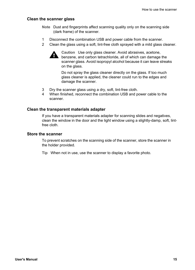#### **Clean the scanner glass**

- **Note** Dust and fingerprints affect scanning quality only on the scanning side (dark frame) of the scanner.
- 1 Disconnect the combination USB and power cable from the scanner.
- 2 Clean the glass using a soft, lint-free cloth sprayed with a mild glass cleaner.



**Caution** Use only glass cleaner. Avoid abrasives, acetone, benzene, and carbon tetrachloride, all of which can damage the scanner glass. Avoid isopropyl alcohol because it can leave streaks on the glass.

Do not spray the glass cleaner directly on the glass. If too much glass cleaner is applied, the cleaner could run to the edges and damage the scanner.

- 3 Dry the scanner glass using a dry, soft, lint-free cloth.
- 4 When finished, reconnect the combination USB and power cable to the scanner.

#### **Clean the transparent materials adapter**

If you have a transparent materials adapter for scanning slides and negatives, clean the window in the door and the light window using a slightly-damp, soft, lintfree cloth.

#### **Store the scanner**

To prevent scratches on the scanning side of the scanner, store the scanner in the holder provided.

**Tip** When not in use, use the scanner to display a favorite photo.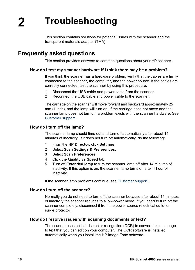This section contains solutions for potential issues with the scanner and the transparent materials adapter (TMA).

## <span id="page-19-0"></span>**Frequently asked questions**

This section provides answers to common questions about your HP scanner.

#### **How do I test my scanner hardware if I think there may be a problem?**

If you think the scanner has a hardware problem, verify that the cables are firmly connected to the scanner, the computer, and the power source. If the cables are correctly connected, test the scanner by using this procedure.

- 1 Disconnect the USB cable and power cable from the scanner.
- 2 Reconnect the USB cable and power cable to the scanner.

The carriage on the scanner will move forward and backward approximately 25 mm (1 inch), and the lamp will turn on. If the carriage does not move and the scanner lamp does not turn on, a problem exists with the scanner hardware. See [Customer support](#page-23-0) .

#### **How do I turn off the lamp?**

The scanner lamp should time out and turn off automatically after about 14 minutes of inactivity. If it does not turn off automatically, do the following:

- 1 From the **HP Director**, click **Settings**.
- 2 Select **Scan Settings & Preferences**.
- 3 Select **Scan Preferences**.
- 4 Click the **Quality vs Speed** tab.
- 5 Turn off **Extended lamp** to turn the scanner lamp off after 14 minutes of inactivity. If this option is on, the scanner lamp turns off after 1 hour of inactivity.

If the scanner lamp problems continue, see [Customer support .](#page-23-0)

#### **How do I turn off the scanner?**

Normally you do not need to turn off the scanner because after about 14 minutes of inactivity the scanner reduces to a low-power mode. If you need to turn off the scanner completely, disconnect it from the power source (electrical outlet or surge protector).

#### **How do I resolve issues with scanning documents or text?**

The scanner uses optical character recognition (OCR) to convert text on a page to text that you can edit on your computer. The OCR software is installed automatically when you install the HP Image Zone software.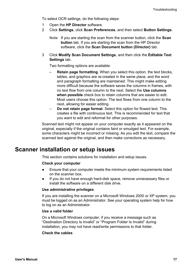<span id="page-20-0"></span>To select OCR settings, do the following steps:

- 1 Open the **HP Director** software.
- 2 Click **Settings**, click **Scan Preferences**, and then select **Button Settings**.
	- **Note** If you are starting the scan from the scanner button, click the **Scan button** tab. If you are starting the scan from the HP Director software, click the **Scan Document button (Director)** tab.
- 3 Click **Modify Scan Document Settings**, and then click the **Editable Text Settings** tab.

Two formatting options are available:

- **Retain page formatting**. When you select this option, the text blocks, tables, and graphics are re-created in the same place, and the word and paragraph formatting are maintained. This might make editing more difficult because the software saves the columns in frames, with no text flow from one column to the next. Select the **Use columns when possible** check box to retain columns that are easier to edit. Most users choose this option. The text flows from one column to the next, allowing for easier editing.
- **Do not retain page format**. Select this option for flowed text. This creates a file with continuous text. This is recommended for text that you want to edit and reformat for other purposes.

Scanned text might not appear on your computer exactly as it appeared on the original, especially if the original contains faint or smudged text. For example, some characters might be incorrect or missing. As you edit the text, compare the scanned text against the original, and then make corrections as necessary.

## **Scanner installation or setup issues**

This section contains solutions for installation and setup issues.

#### **Check your computer**

- Ensure that your computer meets the minimum system requirements listed on the scanner box.
- If you do not have enough hard-disk space, remove unnecessary files or install the software on a different disk drive.

#### **Use administrative privileges**

If you are installing the scanner on a Microsoft Windows 2000 or XP system, you must be logged on as an Administrator. See your operating system help for how to log on as an Administrator.

#### **Use a valid folder**

On a Microsoft Windows computer, if you receive a message such as "Destination Directory Is Invalid" or "Program Folder Is Invalid" during installation, you may not have read/write permissions to that folder.

#### **Check the cables**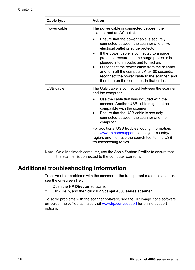<span id="page-21-0"></span>

| Cable type  | <b>Action</b>                                                                                                                                                                                                                                                                                                                                                                                                                                                     |
|-------------|-------------------------------------------------------------------------------------------------------------------------------------------------------------------------------------------------------------------------------------------------------------------------------------------------------------------------------------------------------------------------------------------------------------------------------------------------------------------|
| Power cable | The power cable is connected between the<br>scanner and an AC outlet.                                                                                                                                                                                                                                                                                                                                                                                             |
|             | Ensure that the power cable is securely<br>connected between the scanner and a live<br>electrical outlet or surge protector.<br>If the power cable is connected to a surge<br>protector, ensure that the surge protector is<br>plugged into an outlet and turned on.<br>Disconnect the power cable from the scanner<br>and turn off the computer. After 60 seconds,<br>reconnect the power cable to the scanner, and<br>then turn on the computer, in that order. |
| USB cable   | The USB cable is connected between the scanner<br>and the computer.                                                                                                                                                                                                                                                                                                                                                                                               |
|             | Use the cable that was included with the<br>scanner. Another USB cable might not be<br>compatible with the scanner.<br>Ensure that the USB cable is securely<br>connected between the scanner and the<br>computer.                                                                                                                                                                                                                                                |
|             | For additional USB troubleshooting information,<br>see www.hp.com/support, select your country/<br>region, and then use the search tool to find USB<br>troubleshooting topics.                                                                                                                                                                                                                                                                                    |

**Note** On a Macintosh computer, use the Apple System Profiler to ensure that the scanner is connected to the computer correctly.

## **Additional troubleshooting information**

To solve other problems with the scanner or the transparent materials adapter, see the on-screen Help:

- 1 Open the **HP Director** software.
- 2 Click **Help**, and then click **HP Scanjet 4600 series scanner**.

To solve problems with the scanner software, see the HP Image Zone software on-screen help. You can also visit [www.hp.com/support](http://www.hp.com/support) for online support options.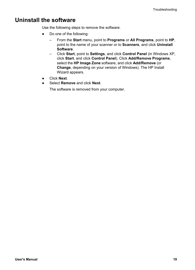## <span id="page-22-0"></span>**Uninstall the software**

Use the following steps to remove the software.

- Do one of the following:
	- From the **Start** menu, point to **Programs** or **All Programs**, point to **HP**, point to the name of your scanner or to **Scanners**, and click **Uninstall Software**.
	- Click **Start**, point to **Settings**, and click **Control Panel** (in Windows XP, click **Start**, and click **Control Panel**). Click **Add/Remove Programs**, select the **HP Image Zone** software, and click **Add/Remove** (or **Change**, depending on your version of Windows). The HP Install Wizard appears.
- Click **Next**.
- Select **Remove** and click **Next**.

The software is removed from your computer.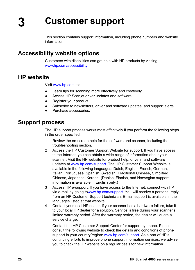# <span id="page-23-0"></span>**3 Customer support**

This section contains support information, including phone numbers and website information.

## **Accessibility website options**

Customers with disabilities can get help with HP products by visiting [www.hp.com/accessibility.](http://www.hp.com/accessibility)

## **HP website**

Visit [www.hp.com](http://www.hp.com) to:

- Learn tips for scanning more effectively and creatively.
- Access HP Scanjet driver updates and software.
- Register your product.
- Subscribe to newsletters, driver and software updates, and support alerts.
- Purchase accessories.

## **Support process**

The HP support process works most effectively if you perform the following steps in the order specified:

- 1 Review the on-screen help for the software and scanner, including the troubleshooting section.
- 2 Access the HP Customer Support Website for support. If you have access to the Internet, you can obtain a wide range of information about your scanner. Visit the HP website for product help, drivers, and software updates at [www.hp.com/support.](http://www.hp.com/support) The HP Customer Support Website is available in the following languages: Dutch, English, French, German, Italian, Portuguese, Spanish, Swedish, Traditional Chinese, Simplified Chinese, Japanese, Korean. (Danish, Finnish, and Norwegian support information is available in English only.)
- 3 Access HP e-support. If you have access to the Internet, connect with HP via e-mail by going to[www.hp.com/support](http://www.hp.com/support). You will receive a personal reply from an HP Customer Support technician. E-mail support is available in the languages listed at that website.
- 4 Contact your local HP dealer. If your scanner has a hardware failure, take it to your local HP dealer for a solution. Service is free during your scanner's limited warranty period. After the warranty period, the dealer will quote a service charge.

Contact the HP Customer Support Center for support by phone. Please consult the following website to check the details and conditions of phone support in your country/region: [www.hp.com/support](http://www.hp.com/support). As a part of HP's continuing efforts to improve phone support information services, we advise you to check the HP website on a regular basis for new information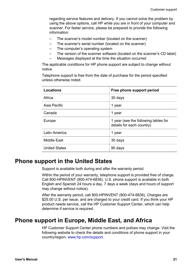<span id="page-24-0"></span>regarding service features and delivery. If you cannot solve the problem by using the above options, call HP while you are in front of your computer and scanner. For faster service, please be prepared to provide the following information:

- The scanner's model number (located on the scanner)
- The scanner's serial number (located on the scanner)
- The computer's operating system
- The version of the scanner software (located on the scanner's CD label)
- Messages displayed at the time the situation occurred

The applicable conditions for HP phone support are subject to change without notice.

Telephone support is free from the date of purchase for the period specified unless otherwise noted.

| Locations            | Free phone support period                                         |
|----------------------|-------------------------------------------------------------------|
| Africa               | 30 days                                                           |
| Asia Pacific         | 1 year                                                            |
| Canada               | 1 year                                                            |
| Europe               | 1 year (see the following tables for<br>details for each country) |
| Latin America        | 1 year                                                            |
| Middle East          | 30 days                                                           |
| <b>United States</b> | 90 days                                                           |

## **Phone support in the United States**

Support is available both during and after the warranty period.

Within the period of your warranty, telephone support is provided free of charge. Call 800-HPINVENT (800-474-6836). U.S. phone support is available in both English and Spanish 24 hours a day, 7 days a week (days and hours of support may change without notice).

After the warranty period, call 800-HPINVENT (800-474-6836). Charges are \$25.00 U.S. per issue, and are charged to your credit card. If you think your HP product needs service, call the HP Customer Support Center, which can help determine if service is required.

## **Phone support in Europe, Middle East, and Africa**

HP Customer Support Center phone numbers and polices may change. Visit the following website to check the details and conditions of phone support in your country/region: [www.hp.com/support.](http://www.hp.com/support)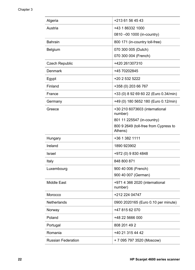| Algeria               | +213 61 56 45 43                                 |
|-----------------------|--------------------------------------------------|
| Austria               | +43 1 86332 1000                                 |
|                       | 0810 -00 1000 (in-country)                       |
| <b>Bahrain</b>        | 800 171 (in-country toll-free)                   |
| Belgium               | 070 300 005 (Dutch)                              |
|                       | 070 300 004 (French)                             |
| <b>Czech Republic</b> | +420 261307310                                   |
| Denmark               | +45 70202845                                     |
| Egypt                 | +20 2 532 5222                                   |
| Finland               | +358 (0) 203 66 767                              |
| France                | +33 (0) 8 92 69 60 22 (Euro 0.34/min)            |
| Germany               | +49 (0) 180 5652 180 (Euro 0.12/min)             |
| Greece                | +30 210 6073603 (international<br>number)        |
|                       | 801 11 225547 (in-country)                       |
|                       | 800 9 2649 (toll-free from Cypress to<br>Athens) |
| Hungary               | +36 1 382 1111                                   |
| Ireland               | 1890 923902                                      |
| Israel                | +972 (0) 9 830 4848                              |
| Italy                 | 848 800 871                                      |
| Luxembourg            | 900 40 006 (French)<br>900 40 007 (German)       |
| Middle East           | +971 4 366 2020 (international<br>number)        |
| Morocco               | +212 224 04747                                   |
| Netherlands           | 0900 2020165 (Euro 0.10 per minute)              |
| Norway                | +47 815 62 070                                   |
| Poland                | +48 22 5666 000                                  |
| Portugal              | 808 201 49 2                                     |
| Romania               | +40 21 315 44 42                                 |
| Russian Federation    | + 7 095 797 3520 (Moscow)                        |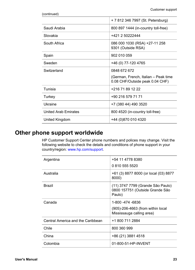<span id="page-26-0"></span>

| (continued) |
|-------------|
|             |

|                             | + 7 812 346 7997 (St. Petersburg)                                       |
|-----------------------------|-------------------------------------------------------------------------|
| Saudi Arabia                | 800 897 1444 (in-country toll-free)                                     |
| Slovakia                    | +421 2 50222444                                                         |
| South Africa                | 086 000 1030 (RSA) +27-11 258<br>9301 (Outside RSA)                     |
| Spain                       | 902 010 059                                                             |
| Sweden                      | +46 (0) 77-120 4765                                                     |
| Switzerland                 | 0848 672 672                                                            |
|                             | (German, French, Italian – Peak time<br>0.08 CHF/Outside peak 0.04 CHF) |
| Tunisia                     | +216 71 89 12 22                                                        |
| Turkey                      | +90 216 579 71 71                                                       |
| Ukraine                     | +7 (380 44) 490 3520                                                    |
| <b>United Arab Emirates</b> | 800 4520 (in-country toll-free)                                         |
| United Kingdom              | +44 (0)870 010 4320                                                     |

## **Other phone support worldwide**

HP Customer Support Center phone numbers and polices may change. Visit the following website to check the details and conditions of phone support in your country/region: [www.hp.com/support.](http://www.hp.com/support)

| Argentina                         | +54 11 4778 8380<br>0 810 555 5520                                                 |
|-----------------------------------|------------------------------------------------------------------------------------|
| Australia                         | +61 (3) 8877 8000 (or local (03) 8877<br>8000)                                     |
| <b>Brazil</b>                     | (11) 3747 7799 (Grande São Paulo)<br>0800 157751 (Outside Grande São<br>Paulo)     |
| Canada                            | 1-800 -474 -6836<br>(905)-206-4663 (from within local<br>Mississauga calling area) |
| Central America and the Caribbean | +1 800 711 2884                                                                    |
| Chile                             | 800 360 999                                                                        |
| China                             | +86 (21) 3881 4518                                                                 |
| Colombia                          | 01-800-51-HP-INVENT                                                                |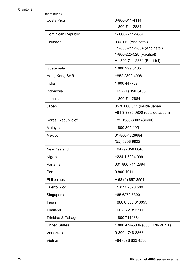#### Chapter 3

| (continued)          |                                 |
|----------------------|---------------------------------|
| Costa Rica           | 0-800-011-4114                  |
|                      | 1-800-711-2884                  |
| Dominican Republic   | 1-800-711-2884                  |
| Ecuador              | 999-119 (Andinatel)             |
|                      | +1-800-711-2884 (Andinatel)     |
|                      | 1-800-225-528 (Pacifitel)       |
|                      | +1-800-711-2884 (Pacifitel)     |
| Guatemala            | 18009995105                     |
| Hong Kong SAR        | +852 2802 4098                  |
| India                | 1600 447737                     |
| Indonesia            | +62 (21) 350 3408               |
| Jamaica              | 1-800-7112884                   |
| Japan                | 0570 000 511 (inside Japan)     |
|                      | +81 3 3335 9800 (outside Japan) |
| Korea, Republic of   | +82 1588-3003 (Seoul)           |
| Malaysia             | 1800805405                      |
| Mexico               | 01-800-4726684                  |
|                      | (55) 5258 9922                  |
| New Zealand          | +64 (9) 356 6640                |
| Nigeria              | +234 1 3204 999                 |
| Panama               | 001 800 711 2884                |
| Peru                 | 0 800 10111                     |
| Philippines          | + 63 (2) 867 3551               |
| Puerto Rico          | +1 877 2320 589                 |
| Singapore            | +65 6272 5300                   |
| Taiwan               | +886 0 800 010055               |
| Thailand             | +66 (0) 2 353 9000              |
| Trinidad & Tobago    | 1800 7112884                    |
| <b>United States</b> | 1800 474-6836 (800 HPINVENT)    |
| Venezuela            | 0-800-4746-8368                 |
| Vietnam              | +84 (0) 8 823 4530              |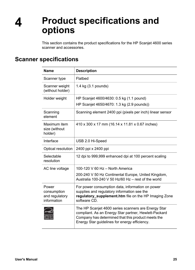## <span id="page-28-0"></span>**4 Product specifications and options**

This section contains the product specifications for the HP Scanjet 4600 series scanner and accessories.

## **Scanner specifications**

| <b>Name</b>                                           | <b>Description</b>                                                                                                                                                                                                  |
|-------------------------------------------------------|---------------------------------------------------------------------------------------------------------------------------------------------------------------------------------------------------------------------|
| Scanner type                                          | Flatbed                                                                                                                                                                                                             |
| Scanner weight<br>(without holder)                    | 1.4 kg (3.1 pounds)                                                                                                                                                                                                 |
| Holder weight                                         | HP Scanjet 4600/4630: 0.5 kg (1.1 pound)                                                                                                                                                                            |
|                                                       | HP Scanjet 4650/4670: 1.3 kg (2.9 pounds))                                                                                                                                                                          |
| Scanning<br>element                                   | Scanning element 2400 ppi (pixels per inch) linear sensor                                                                                                                                                           |
| Maximum item<br>size (without<br>holder)              | 410 x 300 x 17 mm (16.14 x 11.81 x 0.67 inches)                                                                                                                                                                     |
| Interface                                             | USB 2.0 Hi-Speed                                                                                                                                                                                                    |
| Optical resolution                                    | 2400 ppi x 2400 ppi                                                                                                                                                                                                 |
| Selectable<br>resolution                              | 12 dpi to 999,999 enhanced dpi at 100 percent scaling                                                                                                                                                               |
| AC line voltage                                       | 100-120 V 60 Hz - North America                                                                                                                                                                                     |
|                                                       | 200-240 V 50 Hz Continental Europe, United Kingdom,<br>Australia 100-240 V 50 Hz/60 Hz - rest of the world                                                                                                          |
| Power<br>consumption<br>and regulatory<br>information | For power consumption data, information on power<br>supplies and regulatory information see the<br>regulatory_supplement.htm file on the HP Imaging Zone<br>software CD.                                            |
|                                                       | The HP Scanjet 4600 series scanners are Energy Star<br>compliant. As an Energy Star partner, Hewlett-Packard<br>Company has determined that this product meets the<br>Energy Star guidelines for energy efficiency. |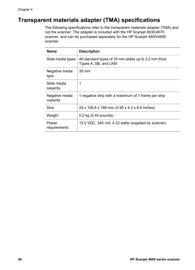## <span id="page-29-0"></span>**Transparent materials adapter (TMA) specifications**

The following specifications refer to the transparent materials adapter (TMA) and not the scanner. The adapter is included with the HP Scanjet 4630/4670 scanner, and can be purchased separately for the HP Scanjet 4600/4650 scanner.

| <b>Name</b>                | <b>Description</b>                                                             |
|----------------------------|--------------------------------------------------------------------------------|
| Slide media types          | All standard types of 35 mm slides up to 3.2 mm thick:<br>Types A, SB, and LKM |
| Negative media<br>type     | $35 \text{ mm}$                                                                |
| Slide media<br>capacity    | 1                                                                              |
| Negative media<br>capacity | 1 negative strip with a maximum of 1 frame per strip                           |
| <b>Size</b>                | 24 x 106.8 x 168 mm (0.95 x 4.2 x 6.6 inches)                                  |
| Weight                     | $0.2$ kg $(0.44$ pounds)                                                       |
| Power<br>requirements      | 12.0 VDC, 340 mA, 4.22 watts (supplied by scanner)                             |